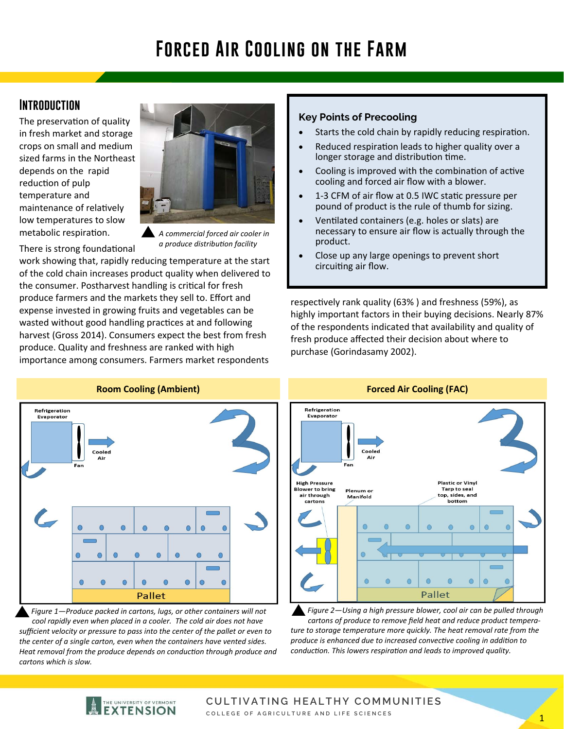# **Forced Air Cooling on the Farm**

# **Introduction**

The preservation of quality in fresh market and storage crops on small and medium sized farms in the Northeast depends on the rapid reduction of pulp temperature and maintenance of relatively low temperatures to slow metabolic respiration.

There is strong foundational



*A commercial forced air cooler in a produce distribuƟon facility* 

work showing that, rapidly reducing temperature at the start of the cold chain increases product quality when delivered to the consumer. Postharvest handling is critical for fresh produce farmers and the markets they sell to. Effort and expense invested in growing fruits and vegetables can be wasted without good handling practices at and following harvest (Gross 2014). Consumers expect the best from fresh produce. Quality and freshness are ranked with high importance among consumers. Farmers market respondents

#### **Key Points of Precooling**

- Starts the cold chain by rapidly reducing respiration.
- Reduced respiration leads to higher quality over a longer storage and distribution time.
- Cooling is improved with the combination of active cooling and forced air flow with a blower.
- 1-3 CFM of air flow at 0.5 IWC static pressure per pound of product is the rule of thumb for sizing.
- Ventilated containers (e.g. holes or slats) are necessary to ensure air flow is actually through the product.
- Close up any large openings to prevent short circuiting air flow.

respectively rank quality (63%) and freshness (59%), as highly important factors in their buying decisions. Nearly 87% of the respondents indicated that availability and quality of fresh produce affected their decision about where to purchase (Gorindasamy 2002).



*Figure 1—Produce packed in cartons, lugs, or other containers will not cool rapidly even when placed in a cooler. The cold air does not have sufficient velocity or pressure to pass into the center of the pallet or even to the center of a single carton, even when the containers have vented sides.*  Heat removal from the produce depends on conduction through produce and *cartons which is slow.* 



*Figure 2—Using a high pressure blower, cool air can be pulled through cartons of produce to remove field heat and reduce product temperature to storage temperature more quickly. The heat removal rate from the produce is enhanced due to increased convecƟve cooling in addiƟon to*  conduction. This lowers respiration and leads to improved quality.

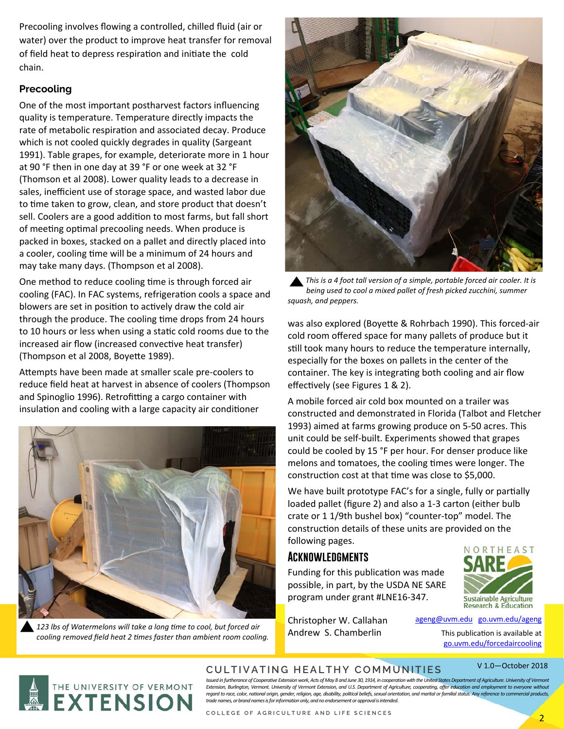Precooling involves flowing a controlled, chilled fluid (air or water) over the product to improve heat transfer for removal of field heat to depress respiration and initiate the cold chain.

### **Precooling**

One of the most important postharvest factors influencing quality is temperature. Temperature directly impacts the rate of metabolic respiration and associated decay. Produce which is not cooled quickly degrades in quality (Sargeant 1991). Table grapes, for example, deteriorate more in 1 hour at 90 °F then in one day at 39 °F or one week at 32 °F (Thomson et al 2008). Lower quality leads to a decrease in sales, inefficient use of storage space, and wasted labor due to time taken to grow, clean, and store product that doesn't sell. Coolers are a good addition to most farms, but fall short of meeting optimal precooling needs. When produce is packed in boxes, stacked on a pallet and directly placed into a cooler, cooling time will be a minimum of 24 hours and may take many days. (Thompson et al 2008).

One method to reduce cooling time is through forced air cooling (FAC). In FAC systems, refrigeration cools a space and blowers are set in position to actively draw the cold air through the produce. The cooling time drops from 24 hours to 10 hours or less when using a static cold rooms due to the increased air flow (increased convective heat transfer) (Thompson et al 2008, Boyette 1989).

Attempts have been made at smaller scale pre-coolers to reduce field heat at harvest in absence of coolers (Thompson and Spinoglio 1996). Retrofitting a cargo container with insulation and cooling with a large capacity air conditioner



123 lbs of Watermelons will take a long time to cool, but forced air *cooling removed field heat 2 Ɵmes faster than ambient room cooling.* 



*This is a 4 foot tall version of a simple, portable forced air cooler. It is being used to cool a mixed pallet of fresh picked zucchini, summer squash, and peppers.* 

was also explored (Boyette & Rohrbach 1990). This forced-air cold room offered space for many pallets of produce but it still took many hours to reduce the temperature internally, especially for the boxes on pallets in the center of the container. The key is integrating both cooling and air flow effectively (see Figures 1 & 2).

A mobile forced air cold box mounted on a trailer was constructed and demonstrated in Florida (Talbot and Fletcher 1993) aimed at farms growing produce on 5‐50 acres. This unit could be self‐built. Experiments showed that grapes could be cooled by 15 °F per hour. For denser produce like melons and tomatoes, the cooling times were longer. The construction cost at that time was close to \$5,000.

We have built prototype FAC's for a single, fully or partially loaded pallet (figure 2) and also a 1‐3 carton (either bulb crate or 1 1/9th bushel box) "counter‐top" model. The construction details of these units are provided on the following pages.

# **Acknowledgments**

Funding for this publication was made possible, in part, by the USDA NE SARE program under grant #LNE16‐347.



Christopher W. Callahan Andrew S. Chamberlin

ageng@uvm.edu go.uvm.edu/ageng

This publication is available at go.uvm.edu/forcedaircooling





## **CULTIVATING HEALTHY COMMUNITIES**

Issued in furtherance of Cooperative Extension work, Acts of May 8 and June 30, 1914, in cooperation with the United States Department of Agriculture. University of Vermont *Extension, Burlington, Vermont. University of Vermont Extension, and U.S. Department of Agriculture, cooperating, offer education and employment to everyone without*  regard to race, color, national origin, gender, religion, age, disability, political beliefs, sexual orientation, and marital or familial status. Any reference to commercial products, and relations of an analyza discussion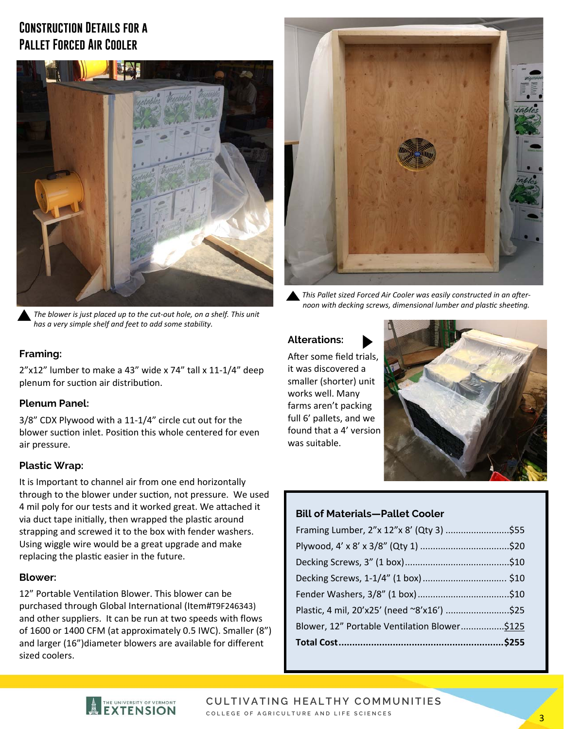# **Construction Details for a Pallet Forced Air Cooler**



*The blower is just placed up to the cut-out hole, on a shelf. This unit has a very simple shelf and feet to add some stability.* 



This Pallet sized Forced Air Cooler was easily constructed in an afternoon with decking screws, dimensional lumber and plastic sheeting.

#### **Framing:**

2"x12" lumber to make a 43" wide x 74" tall x 11‐1/4" deep plenum for suction air distribution.

#### **Plenum Panel:**

3/8" CDX Plywood with a 11‐1/4" circle cut out for the blower suction inlet. Position this whole centered for even air pressure.

#### **Plastic Wrap:**

It is Important to channel air from one end horizontally through to the blower under suction, not pressure. We used 4 mil poly for our tests and it worked great. We attached it via duct tape initially, then wrapped the plastic around strapping and screwed it to the box with fender washers. Using wiggle wire would be a great upgrade and make replacing the plastic easier in the future.

#### **Blower:**

12" Portable Ventilation Blower. This blower can be purchased through Global International (Item#T9F246343) and other suppliers. It can be run at two speeds with flows of 1600 or 1400 CFM (at approximately 0.5 IWC). Smaller (8") and larger (16")diameter blowers are available for different sized coolers.

#### **Alterations:**

After some field trials. it was discovered a smaller (shorter) unit works well. Many farms aren't packing full 6' pallets, and we found that a 4' version was suitable.



#### **Bill of Materials—Pallet Cooler**

| Framing Lumber, 2"x 12"x 8' (Qty 3) \$55      |  |
|-----------------------------------------------|--|
|                                               |  |
|                                               |  |
|                                               |  |
|                                               |  |
|                                               |  |
| Blower, 12" Portable Ventilation Blower \$125 |  |
|                                               |  |